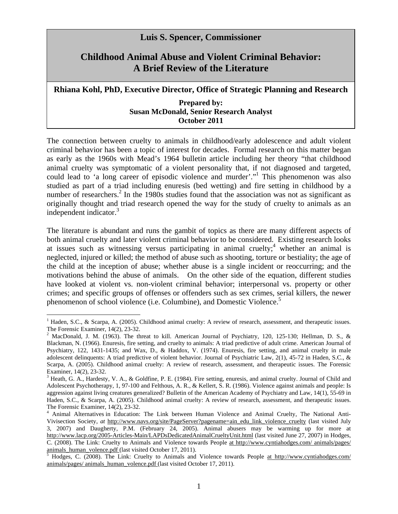## **Luis S. Spencer, Commissioner**

## **Childhood Animal Abuse and Violent Criminal Behavior: A Brief Review of the Literature**

## **Rhiana Kohl, PhD, Executive Director, Office of Strategic Planning and Research**

## **Prepared by: Susan McDonald, Senior Research Analyst October 2011**

The connection between cruelty to animals in childhood/early adolescence and adult violent criminal behavior has been a topic of interest for decades. Formal research on this matter began as early as the 1960s with Mead's 1964 bulletin article including her theory "that childhood animal cruelty was symptomatic of a violent personality that, if not diagnosed and targeted, could lead to 'a long career of episodic violence and murder'."1 This phenomenon was also studied as part of a triad including enuresis (bed wetting) and fire setting in childhood by a number of researchers.<sup>2</sup> In the 1980s studies found that the association was not as significant as originally thought and triad research opened the way for the study of cruelty to animals as an independent indicator.<sup>3</sup>

The literature is abundant and runs the gambit of topics as there are many different aspects of both animal cruelty and later violent criminal behavior to be considered. Existing research looks at issues such as witnessing versus participating in animal cruelty;<sup>4</sup> whether an animal is neglected, injured or killed; the method of abuse such as shooting, torture or bestiality; the age of the child at the inception of abuse; whether abuse is a single incident or reoccurring; and the motivations behind the abuse of animals. On the other side of the equation, different studies have looked at violent vs. non-violent criminal behavior; interpersonal vs. property or other crimes; and specific groups of offenses or offenders such as sex crimes, serial killers, the newer phenomenon of school violence (i.e. Columbine), and Domestic Violence.<sup>5</sup>

<sup>&</sup>lt;sup>1</sup> Haden, S.C., & Scarpa, A. (2005). Childhood animal cruelty: A review of research, assessment, and therapeutic issues. The Forensic Examiner, 14(2), 23-32.

<sup>&</sup>lt;sup>2</sup> MacDonald, J. M. (1963). The threat to kill. American Journal of Psychiatry, 120, 125-130; Hellman, D. S., & Blackman, N. (1966). Enuresis, fire setting, and cruelty to animals: A triad predictive of adult crime. American Journal of Psychiatry, 122, 1431-1435; and Wax, D., & Haddox, V. (1974). Enuresis, fire setting, and animal cruelty in male adolescent delinquents: A triad predictive of violent behavior. Journal of Psychiatric Law, 2(1), 45-72 in Haden, S.C., & Scarpa, A. (2005). Childhood animal cruelty: A review of research, assessment, and therapeutic issues. The Forensic Examiner, 14(2), 23-32.

 $3$  Heath, G. A., Hardesty, V. A., & Goldfine, P. E. (1984). Fire setting, enuresis, and animal cruelty. Journal of Child and Adolescent Psychotherapy, 1, 97-100 and Felthous, A. R., & Kellert, S. R. (1986). Violence against animals and people: Is aggression against living creatures generalized? Bulletin of the American Academy of Psychiatry and Law, 14(1), 55-69 in Haden, S.C., & Scarpa, A. (2005). Childhood animal cruelty: A review of research, assessment, and therapeutic issues. The Forensic Examiner, 14(2), 23-32.

<sup>&</sup>lt;sup>4</sup> Animal Alternatives in Education: The Link between Human Violence and Animal Cruelty, The National Anti-Vivisection Society, *at* http://www.navs.org/site/PageServer?pagename=ain\_edu\_link\_violence\_cruelty (last visited July 3, 2007) and Daugherty, P.M. (February 24, 2005). Animal abusers may be warming up for more at http://www.lacp.org/2005-Articles-Main/LAPDsDedicatedAnimalCrueltyUnit.html (last visited June 27, 2007) in Hodges, C. (2008). The Link: Cruelty to Animals and Violence towards People at http://www.cyntiahodges.com/ animals/pages/ animals\_human\_volence.pdf (last visited October 17, 2011).

Hodges, C. (2008). The Link: Cruelty to Animals and Violence towards People at http://www.cyntiahodges.com/ animals/pages/ animals\_human\_volence.pdf (last visited October 17, 2011).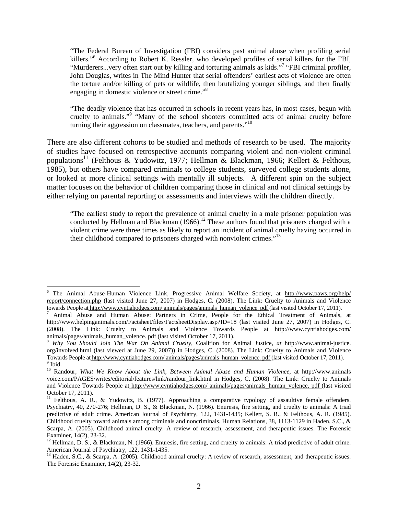"The Federal Bureau of Investigation (FBI) considers past animal abuse when profiling serial killers."6 According to Robert K. Ressler, who developed profiles of serial killers for the FBI, "Murderers...very often start out by killing and torturing animals as kids."<sup>7</sup> "FBI criminal profiler, John Douglas, writes in The Mind Hunter that serial offenders' earliest acts of violence are often the torture and/or killing of pets or wildlife, then brutalizing younger siblings, and then finally engaging in domestic violence or street crime."<sup>8</sup>

"The deadly violence that has occurred in schools in recent years has, in most cases, begun with cruelty to animals."<sup>9</sup> "Many of the school shooters committed acts of animal cruelty before turning their aggression on classmates, teachers, and parents."<sup>10</sup>

There are also different cohorts to be studied and methods of research to be used. The majority of studies have focused on retrospective accounts comparing violent and non-violent criminal populations<sup>11</sup> (Felthous & Yudowitz, 1977; Hellman & Blackman, 1966; Kellert & Felthous, 1985), but others have compared criminals to college students, surveyed college students alone, or looked at more clinical settings with mentally ill subjects. A different spin on the subject matter focuses on the behavior of children comparing those in clinical and not clinical settings by either relying on parental reporting or assessments and interviews with the children directly.

"The earliest study to report the prevalence of animal cruelty in a male prisoner population was conducted by Hellman and Blackman  $(1966)$ .<sup>12</sup> These authors found that prisoners charged with a violent crime were three times as likely to report an incident of animal cruelty having occurred in their childhood compared to prisoners charged with nonviolent crimes."<sup>13</sup>

<sup>&</sup>lt;sup>6</sup> The Animal Abuse-Human Violence Link, Progressive Animal Welfare Society, at http://www.paws.org/help/ report/connection.php (last visited June 27, 2007) in Hodges, C. (2008). The Link: Cruelty to Animals and Violence towards People at http://www.cyntiahodges.com/ animals/pages/animals\_human\_volence. pdf (last visited October 17, 2011).

Animal Abuse and Human Abuse: Partners in Crime, People for the Ethical Treatment of Animals, at http://www.helpinganimals.com/Factsheet/files/FactsheetDisplay.asp?ID=18 (last visited June 27, 2007) in Hodges, C. (2008). The Link: Cruelty to Animals and Violence Towards People at http://www.cyntiahodges.com/<br>animals/pages/animals human volence pdf (last visited October 17, 2011).

Why You Should Join The War On Animal Cruelty, Coalition for Animal Justice, *at* http://www.animal-justice. org/involved.html (last viewed at June 29, 2007)) in Hodges, C. (2008). The Link: Cruelty to Animals and Violence Towards People at http://www.cyntiahodges.com/ animals/pages/animals\_human\_volence. pdf (last visited October 17, 2011). 9  $<sup>9</sup>$  Ibid.</sup>

<sup>10</sup> Randour, *What We Know About the Link, Between Animal Abuse and Human Violence*, at http://www.animals voice.com/PAGES/writes/editorial/features/link/randour\_link.html in Hodges, C. (2008). The Link: Cruelty to Animals and Violence Towards People at http://www.cyntiahodges.com/ animals/pages/animals\_human\_volence. pdf (last visited October 17, 2011).

<sup>&</sup>lt;sup>11</sup> Felthous, A. R., & Yudowitz, B. (1977). Approaching a comparative typology of assaultive female offenders. Psychiatry, 40, 270-276; Hellman, D. S., & Blackman, N. (1966). Enuresis, fire setting, and cruelty to animals: A triad predictive of adult crime. American Journal of Psychiatry, 122, 1431-1435; Kellert, S. R., & Felthous, A. R. (1985). Childhood cruelty toward animals among criminals and noncriminals. Human Relations, 38, 1113-1129 in Haden, S.C., & Scarpa, A. (2005). Childhood animal cruelty: A review of research, assessment, and therapeutic issues. The Forensic Examiner, 14(2), 23-32.

 $12$  Hellman, D. S., & Blackman, N. (1966). Enuresis, fire setting, and cruelty to animals: A triad predictive of adult crime. American Journal of Psychiatry, 122, 1431-1435.

<sup>&</sup>lt;sup>13</sup> Haden, S.C., & Scarpa, A. (2005). Childhood animal cruelty: A review of research, assessment, and therapeutic issues. The Forensic Examiner, 14(2), 23-32.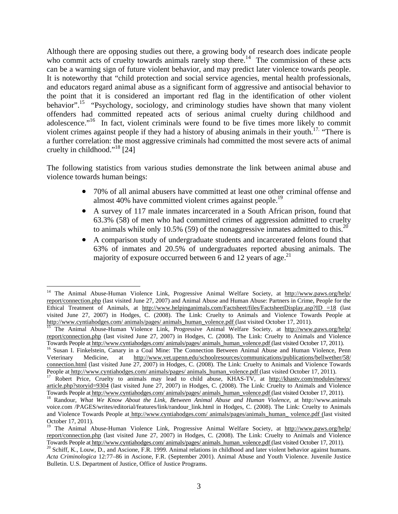Although there are opposing studies out there, a growing body of research does indicate people who commit acts of cruelty towards animals rarely stop there.<sup>14</sup> The commission of these acts can be a warning sign of future violent behavior, and may predict later violence towards people. It is noteworthy that "child protection and social service agencies, mental health professionals, and educators regard animal abuse as a significant form of aggressive and antisocial behavior to the point that it is considered an important red flag in the identification of other violent behavior".<sup>15</sup> "Psychology, sociology, and criminology studies have shown that many violent offenders had committed repeated acts of serious animal cruelty during childhood and adolescence."<sup>16</sup> In fact, violent criminals were found to be five times more likely to commit violent crimes against people if they had a history of abusing animals in their youth.<sup>17</sup> "There is a further correlation: the most aggressive criminals had committed the most severe acts of animal cruelty in childhood."<sup>18</sup> [24]

The following statistics from various studies demonstrate the link between animal abuse and violence towards human beings:

- 70% of all animal abusers have committed at least one other criminal offense and almost 40% have committed violent crimes against people.<sup>19</sup>
- A survey of 117 male inmates incarcerated in a South African prison, found that 63.3% (58) of men who had committed crimes of aggression admitted to cruelty to animals while only 10.5% (59) of the nonaggressive inmates admitted to this.<sup>20</sup>
- A comparison study of undergraduate students and incarcerated felons found that 63% of inmates and 20.5% of undergraduates reported abusing animals. The majority of exposure occurred between 6 and 12 years of age.<sup>21</sup>

<sup>&</sup>lt;sup>14</sup> The Animal Abuse-Human Violence Link, Progressive Animal Welfare Society, at http://www.paws.org/help/ report/connection.php (last visited June 27, 2007) and Animal Abuse and Human Abuse: Partners in Crime, People for the Ethical Treatment of Animals, at http://www.helpinganimals.com/Factsheet/files/FactsheetDisplay.asp?ID =18 (last visited June 27, 2007) in Hodges, C. (2008). The Link: Cruelty to Animals and Violence Towards People at http://www.cyntiahodges.com/animals/pages/animals human volence.pdf (last visited October 17, 2011).

The Animal Abuse-Human Violence Link, Progressive Animal Welfare Society, at http://www.paws.org/help/ report/connection.php (last visited June 27, 2007) in Hodges, C. (2008). The Link: Cruelty to Animals and Violence Towards People at http://www.cyntiahodges.com/ animals/pages/ animals human volence.pdf (last visited October 17, 2011).<br><sup>16</sup> Susan I. Finkelstein, Canary in a Coal Mine: The Connection Between Animal Abuse and Human Viole

Veterinary Medicine, at http://www.vet.upenn.edu/schoolresources/communications/publications/bellwether/58/ connection.html (last visited June 27, 2007) in Hodges, C. (2008). The Link: Cruelty to Animals and Violence Towards People at http://www.cyntiahodges.com/ animals/pages/ animals\_human\_volence.pdf (last visited October 17, 2011).<br><sup>17</sup> Robert Price, Cruelty to animals may lead to child abuse, KHAS-TV, at http://khastv.com/modules/news/

article.php?storyid=9304 (last visited June 27, 2007) in Hodges, C. (2008). The Link: Cruelty to Animals and Violence<br>Towards People at http://www.cyntiahodges.com/ animals/pages/ animals human volence.pdf (last visited Oc

<sup>&</sup>lt;sup>18</sup> Randour, *What We Know About the Link, Between Animal Abuse and Human Violence*, at http://www.animals voice.com /PAGES/writes/editorial/features/link/randour\_link.html in Hodges, C. (2008). The Link: Cruelty to Animals and Violence Towards People at http://www.cyntiahodges.com/ animals/pages/animals\_human\_ volence.pdf (last visited October 17, 2011).

<sup>&</sup>lt;sup>19</sup> The Animal Abuse-Human Violence Link, Progressive Animal Welfare Society, at http://www.paws.org/help/ report/connection.php (last visited June 27, 2007) in Hodges, C. (2008). The Link: Cruelty to Animals and Violence<br>Towards People at http://www.cyntiahodges.com/ animals/pages/ animals human volence.pdf (last visited Octob

<sup>&</sup>lt;sup>20</sup> Schiff, K., Louw, D., and Ascione, F.R. 1999. Animal relations in childhood and later violent behavior against humans. *Acta Criminologica* 12:77–86 in Ascione, F.R. (September 2001). Animal Abuse and Youth Violence. Juvenile Justice Bulletin. U.S. Department of Justice, Office of Justice Programs.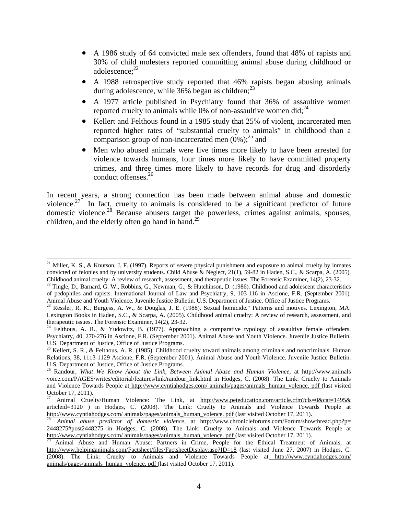- A 1986 study of 64 convicted male sex offenders, found that 48% of rapists and 30% of child molesters reported committing animal abuse during childhood or adolescence: $22$
- A 1988 retrospective study reported that 46% rapists began abusing animals during adolescence, while  $36\%$  began as children;  $^{23}$
- A 1977 article published in Psychiatry found that 36% of assaultive women reported cruelty to animals while  $0\%$  of non-assaultive women did;<sup>24</sup>
- Kellert and Felthous found in a 1985 study that 25% of violent, incarcerated men reported higher rates of "substantial cruelty to animals" in childhood than a comparison group of non-incarcerated men  $(0\%)$ ;<sup>25</sup> and
- Men who abused animals were five times more likely to have been arrested for violence towards humans, four times more likely to have committed property crimes, and three times more likely to have records for drug and disorderly conduct offenses.26

In recent years, a strong connection has been made between animal abuse and domestic violence.<sup>27</sup> In fact, cruelty to animals is considered to be a significant predictor of future domestic violence.28 Because abusers target the powerless, crimes against animals, spouses, children, and the elderly often go hand in hand.<sup>29</sup>

<sup>&</sup>lt;sup>21</sup> Miller, K. S., & Knutson, J. F. (1997). Reports of severe physical punishment and exposure to animal cruelty by inmates convicted of felonies and by university students. Child Abuse & Neglect, 21(1), 59-82 in Haden, S.C., & Scarpa, A. (2005). Childhood animal cruelty: A review of research, assessment, and therapeutic issues. The Forensic Ex

<sup>&</sup>lt;sup>22</sup> Tingle, D., Barnard, G. W., Robbins, G., Newman, G., & Hutchinson, D. (1986). Childhood and adolescent characteristics of pedophiles and rapists. International Journal of Law and Psychiatry, 9, 103-116 in Ascione, F.R. (September 2001). Animal Abuse and Youth Violence. Juvenile Justice Bulletin. U.S. Department of Justice, Office of Justice Programs.

 $^{23}$  Ressler, R. K., Burgess, A. W., & Douglas, J. E. (1988). Sexual homicide." Patterns and motives. Lexington, MA: Lexington Books in Haden, S.C., & Scarpa, A. (2005). Childhood animal cruelty: A review of research, assessment, and therapeutic issues. The Forensic Examiner, 14(2), 23-32.

<sup>&</sup>lt;sup>24</sup> Felthous, A. R., & Yudowitz, B. (1977). Approaching a comparative typology of assaultive female offenders. Psychiatry, 40, 270-276 in Ascione, F.R. (September 2001). Animal Abuse and Youth Violence. Juvenile Justice Bulletin. U.S. Department of Justice, Office of Justice Programs.

 $^{25}$  Kellert, S. R., & Felthous, A. R. (1985). Childhood cruelty toward animals among criminals and noncriminals. Human Relations, 38, 1113-1129 Ascione, F.R. (September 2001). Animal Abuse and Youth Violence. Juvenile Justice Bulletin. U.S. Department of Justice, Office of Justice Programs.

<sup>26</sup> Randour, *What We Know About the Link, Between Animal Abuse and Human Violence*, at http://www.animals voice.com/PAGES/writes/editorial/features/link/randour\_link.html in Hodges, C. (2008). The Link: Cruelty to Animals and Violence Towards People at http://www.cyntiahodges.com/ animals/pages/animals\_human\_volence. pdf (last visited October 17, 2011).

<sup>27</sup> Animal Cruelty/Human Violence: The Link, at http://www.peteducation.com/article.cfm?cls=0&cat=1495& articleid=3120 ) in Hodges, C. (2008). The Link: Cruelty to Animals and Violence Towards People at http://www.cyntiahodges.com/ animals/pages/animals\_human\_volence. pdf (last visited October 17, 2011).

Animal abuse predictor of domestic violence, at http://www.chronicleforums.com/Forum/showthread.php?p= 2448275#post2448275 in Hodges, C. (2008). The Link: Cruelty to Animals and Violence Towards People at http://www.cyntiahodges.com/ animals/pages/animals human volence pdf (last visited October 17, 2011).

Animal Abuse and Human Abuse: Partners in Crime, People for the Ethical Treatment of Animals, at http://www.helpinganimals.com/Factsheet/files/FactsheetDisplay.asp?ID=18 (last visited June 27, 2007) in Hodges, C. (2008). The Link: Cruelty to Animals and Violence Towards People at http://www.cyntiahodges.com/ animals/pages/animals\_human\_volence. pdf (last visited October 17, 2011).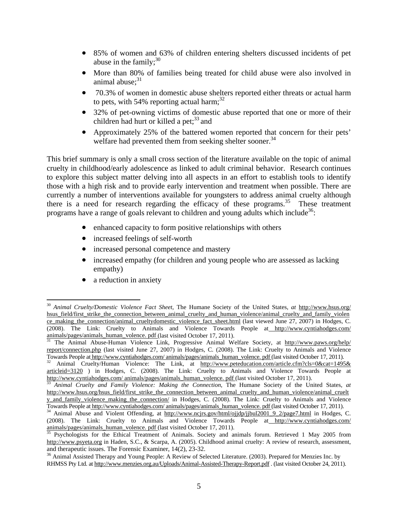- 85% of women and 63% of children entering shelters discussed incidents of pet abuse in the family; $30<sup>30</sup>$
- More than 80% of families being treated for child abuse were also involved in animal abuse:<sup>31</sup>
- 70.3% of women in domestic abuse shelters reported either threats or actual harm to pets, with 54% reporting actual harm; $^{32}$
- 32% of pet-owning victims of domestic abuse reported that one or more of their children had hurt or killed a pet; $^{33}$  and
- Approximately 25% of the battered women reported that concern for their pets' welfare had prevented them from seeking shelter sooner.<sup>34</sup>

This brief summary is only a small cross section of the literature available on the topic of animal cruelty in childhood/early adolescence as linked to adult criminal behavior. Research continues to explore this subject matter delving into all aspects in an effort to establish tools to identify those with a high risk and to provide early intervention and treatment when possible. There are currently a number of interventions available for youngsters to address animal cruelty although there is a need for research regarding the efficacy of these programs.<sup>35</sup> These treatment programs have a range of goals relevant to children and young adults which include<sup>36</sup>:

- enhanced capacity to form positive relationships with others
- increased feelings of self-worth
- increased personal competence and mastery
- increased empathy (for children and young people who are assessed as lacking empathy)
- a reduction in anxiety

<sup>30</sup> *Animal Cruelty/Domestic Violence Fact Sheet*, The Humane Society of the United States, *at* http://www.hsus.org/ hsus\_field/first\_strike\_the\_connection\_between\_animal\_cruelty\_and\_human\_violence/animal\_cruelty\_and\_family\_violen ce\_making\_the\_connection/animal\_crueltydomestic\_violence\_fact\_sheet.html (last viewed June 27, 2007) in Hodges, C. (2008). The Link: Cruelty to Animals and Violence Towards People at http://www.cyntiahodges.com/<br>animals/pages/animals human volence pdf (last visited October 17, 2011).

The Animal Abuse-Human Violence Link, Progressive Animal Welfare Society, at http://www.paws.org/help/ report/connection.php (last visited June 27, 2007) in Hodges, C. (2008). The Link: Cruelty to Animals and Violence<br>Towards People at http://www.cyntiahodges.com/ animals/pages/animals\_human\_volence.pdf (last visited Octobe

Animal Cruelty/Human Violence: The Link, at http://www.peteducation.com/article.cfm?cls=0&cat=1495& articleid=3120 ) in Hodges, C. (2008). The Link: Cruelty to Animals and Violence Towards People at http://www.cyntiahodges.com/ animals/pages/animals\_human\_volence. pdf (last visited October 17, 2011). <sup>33</sup> *Animal Cruelty and Family Violence: Making the Connection*, The Humane Society of the United States, *at* 

http://www.hsus.org/hsus\_field/first\_strike\_the\_connection\_between\_animal\_cruelty\_and\_human\_violence/animal\_cruelt y\_and\_family\_violence\_making\_the\_connection/ in Hodges, C. (2008). The Link: Cruelty to Animals and Violence Towards People at http://www.cyntiahodges.com/ animals/pages/animals human volence. pdf (last visited October 17, 2011).<br><sup>34</sup> Animal Abuse and Violent Offending, at http://www.ncjrs.gov/html/ojjdp/jjbul2001\_9\_2/page7.html

<sup>(2008).</sup> The Link: Cruelty to Animals and Violence Towards People at http://www.cyntiahodges.com/<br>animals/pages/animals\_human\_volence. pdf (last visited October 17, 2011).

Psychologists for the Ethical Treatment of Animals. Society and animals forum. Retrieved 1 May 2005 from http://www.psyeta.org in Haden, S.C., & Scarpa, A. (2005). Childhood animal cruelty: A review of research, assessment,

and therapeutic issues. The Forensic Examiner, 14(2), 23-32.<br><sup>36</sup> Animal Assisted Therapy and Young People: A Review of Selected Literature. (2003). Prepared for Menzies Inc. by RHMSS Pty Ltd. at http://www.menzies.org.au/Uploads/Animal-Assisted-Therapy-Report.pdf . (last visited October 24, 2011).